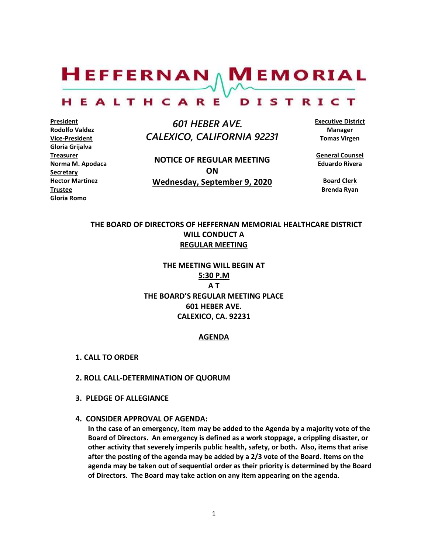$H$ EFFERNAN  $\wedge$  M EMORIAL

#### HEALTHCARE DISTRICT

**President Rodolfo Valdez Vice-President Gloria Grijalva Treasurer Norma M. Apodaca Secretary Hector Martinez Trustee Gloria Romo**

 *601 HEBER AVE. CALEXICO, CALIFORNIA 92231*

**NOTICE OF REGULAR MEETING ON Wednesday, September 9, 2020** **Executive District Manager Tomas Virgen**

**General Counsel Eduardo Rivera**

**Board Clerk Brenda Ryan**

# **THE BOARD OF DIRECTORS OF HEFFERNAN MEMORIAL HEALTHCARE DISTRICT WILL CONDUCT A REGULAR MEETING**

**THE MEETING WILL BEGIN AT 5:30 P.M A T THE BOARD'S REGULAR MEETING PLACE 601 HEBER AVE. CALEXICO, CA. 92231**

#### **AGENDA**

- **1. CALL TO ORDER**
- **2. ROLL CALL-DETERMINATION OF QUORUM**
- **3. PLEDGE OF ALLEGIANCE**
- **4. CONSIDER APPROVAL OF AGENDA:**

**In the case of an emergency, item may be added to the Agenda by a majority vote of the Board of Directors. An emergency is defined as a work stoppage, a crippling disaster, or other activity that severely imperils public health, safety, or both. Also, items that arise after the posting of the agenda may be added by a 2/3 vote of the Board. Items on the agenda may be taken out of sequential order as their priority is determined by the Board of Directors. The Board may take action on any item appearing on the agenda.**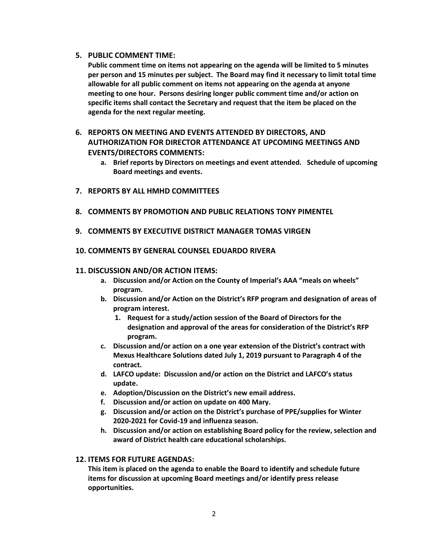# **5. PUBLIC COMMENT TIME:**

**Public comment time on items not appearing on the agenda will be limited to 5 minutes per person and 15 minutes per subject. The Board may find it necessary to limit total time allowable for all public comment on items not appearing on the agenda at anyone meeting to one hour. Persons desiring longer public comment time and/or action on specific items shall contact the Secretary and request that the item be placed on the agenda for the next regular meeting.**

# **6. REPORTS ON MEETING AND EVENTS ATTENDED BY DIRECTORS, AND AUTHORIZATION FOR DIRECTOR ATTENDANCE AT UPCOMING MEETINGS AND EVENTS/DIRECTORS COMMENTS:**

- **a. Brief reports by Directors on meetings and event attended. Schedule of upcoming Board meetings and events.**
- **7. REPORTS BY ALL HMHD COMMITTEES**
- **8. COMMENTS BY PROMOTION AND PUBLIC RELATIONS TONY PIMENTEL**
- **9. COMMENTS BY EXECUTIVE DISTRICT MANAGER TOMAS VIRGEN**
- **10. COMMENTS BY GENERAL COUNSEL EDUARDO RIVERA**

# **11. DISCUSSION AND/OR ACTION ITEMS:**

- **a. Discussion and/or Action on the County of Imperial's AAA "meals on wheels" program.**
- **b. Discussion and/or Action on the District's RFP program and designation of areas of program interest.**
	- **1. Request for a study/action session of the Board of Directors for the designation and approval of the areas for consideration of the District's RFP program.**
- **c. Discussion and/or action on a one year extension of the District's contract with Mexus Healthcare Solutions dated July 1, 2019 pursuant to Paragraph 4 of the contract.**
- **d. LAFCO update: Discussion and/or action on the District and LAFCO's status update.**
- **e. Adoption/Discussion on the District's new email address.**
- **f. Discussion and/or action on update on 400 Mary.**
- **g. Discussion and/or action on the District's purchase of PPE/supplies for Winter 2020-2021 for Covid-19 and influenza season.**
- **h. Discussion and/or action on establishing Board policy for the review, selection and award of District health care educational scholarships.**

# **12. ITEMS FOR FUTURE AGENDAS:**

**This item is placed on the agenda to enable the Board to identify and schedule future items for discussion at upcoming Board meetings and/or identify press release opportunities.**